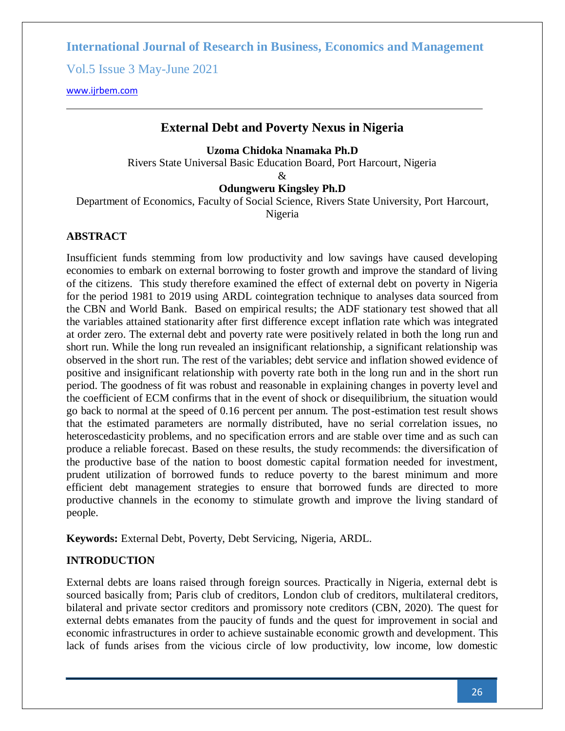Vol.5 Issue 3 May-June 2021

[www.ijrbem.com](file:///G:/New%20folder%20(2)/New%20folder/IJRBEM/pepar/2019/May-June/BEM361%20pub/www.ijrbem.com)

# **External Debt and Poverty Nexus in Nigeria**

**Uzoma Chidoka Nnamaka Ph.D**

Rivers State Universal Basic Education Board, Port Harcourt, Nigeria

 $\mathcal{R}_{\mathcal{L}}$ 

**Odungweru Kingsley Ph.D**

Department of Economics, Faculty of Social Science, Rivers State University, Port Harcourt,

Nigeria

### **ABSTRACT**

Insufficient funds stemming from low productivity and low savings have caused developing economies to embark on external borrowing to foster growth and improve the standard of living of the citizens. This study therefore examined the effect of external debt on poverty in Nigeria for the period 1981 to 2019 using ARDL cointegration technique to analyses data sourced from the CBN and World Bank. Based on empirical results; the ADF stationary test showed that all the variables attained stationarity after first difference except inflation rate which was integrated at order zero. The external debt and poverty rate were positively related in both the long run and short run. While the long run revealed an insignificant relationship, a significant relationship was observed in the short run. The rest of the variables; debt service and inflation showed evidence of positive and insignificant relationship with poverty rate both in the long run and in the short run period. The goodness of fit was robust and reasonable in explaining changes in poverty level and the coefficient of ECM confirms that in the event of shock or disequilibrium, the situation would go back to normal at the speed of 0.16 percent per annum. The post-estimation test result shows that the estimated parameters are normally distributed, have no serial correlation issues, no heteroscedasticity problems, and no specification errors and are stable over time and as such can produce a reliable forecast. Based on these results, the study recommends: the diversification of the productive base of the nation to boost domestic capital formation needed for investment, prudent utilization of borrowed funds to reduce poverty to the barest minimum and more efficient debt management strategies to ensure that borrowed funds are directed to more productive channels in the economy to stimulate growth and improve the living standard of people.

**Keywords:** External Debt, Poverty, Debt Servicing, Nigeria, ARDL.

# **INTRODUCTION**

External debts are loans raised through foreign sources. Practically in Nigeria, external debt is sourced basically from; Paris club of creditors, London club of creditors, multilateral creditors, bilateral and private sector creditors and promissory note creditors (CBN, 2020). The quest for external debts emanates from the paucity of funds and the quest for improvement in social and economic infrastructures in order to achieve sustainable economic growth and development. This lack of funds arises from the vicious circle of low productivity, low income, low domestic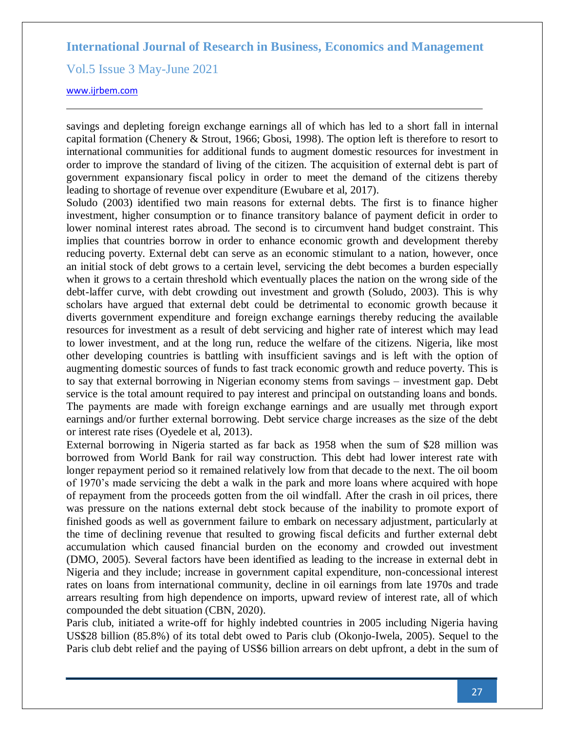Vol.5 Issue 3 May-June 2021

[www.ijrbem.com](file:///G:/New%20folder%20(2)/New%20folder/IJRBEM/pepar/2019/May-June/BEM361%20pub/www.ijrbem.com)

savings and depleting foreign exchange earnings all of which has led to a short fall in internal capital formation (Chenery & Strout, 1966; Gbosi, 1998). The option left is therefore to resort to international communities for additional funds to augment domestic resources for investment in order to improve the standard of living of the citizen. The acquisition of external debt is part of government expansionary fiscal policy in order to meet the demand of the citizens thereby leading to shortage of revenue over expenditure (Ewubare et al, 2017).

Soludo (2003) identified two main reasons for external debts. The first is to finance higher investment, higher consumption or to finance transitory balance of payment deficit in order to lower nominal interest rates abroad. The second is to circumvent hand budget constraint. This implies that countries borrow in order to enhance economic growth and development thereby reducing poverty. External debt can serve as an economic stimulant to a nation, however, once an initial stock of debt grows to a certain level, servicing the debt becomes a burden especially when it grows to a certain threshold which eventually places the nation on the wrong side of the debt-laffer curve, with debt crowding out investment and growth (Soludo, 2003). This is why scholars have argued that external debt could be detrimental to economic growth because it diverts government expenditure and foreign exchange earnings thereby reducing the available resources for investment as a result of debt servicing and higher rate of interest which may lead to lower investment, and at the long run, reduce the welfare of the citizens. Nigeria, like most other developing countries is battling with insufficient savings and is left with the option of augmenting domestic sources of funds to fast track economic growth and reduce poverty. This is to say that external borrowing in Nigerian economy stems from savings – investment gap. Debt service is the total amount required to pay interest and principal on outstanding loans and bonds. The payments are made with foreign exchange earnings and are usually met through export earnings and/or further external borrowing. Debt service charge increases as the size of the debt or interest rate rises (Oyedele et al, 2013).

External borrowing in Nigeria started as far back as 1958 when the sum of \$28 million was borrowed from World Bank for rail way construction. This debt had lower interest rate with longer repayment period so it remained relatively low from that decade to the next. The oil boom of 1970's made servicing the debt a walk in the park and more loans where acquired with hope of repayment from the proceeds gotten from the oil windfall. After the crash in oil prices, there was pressure on the nations external debt stock because of the inability to promote export of finished goods as well as government failure to embark on necessary adjustment, particularly at the time of declining revenue that resulted to growing fiscal deficits and further external debt accumulation which caused financial burden on the economy and crowded out investment (DMO, 2005). Several factors have been identified as leading to the increase in external debt in Nigeria and they include; increase in government capital expenditure, non-concessional interest rates on loans from international community, decline in oil earnings from late 1970s and trade arrears resulting from high dependence on imports, upward review of interest rate, all of which compounded the debt situation (CBN, 2020).

Paris club, initiated a write-off for highly indebted countries in 2005 including Nigeria having US\$28 billion (85.8%) of its total debt owed to Paris club (Okonjo-Iwela, 2005). Sequel to the Paris club debt relief and the paying of US\$6 billion arrears on debt upfront, a debt in the sum of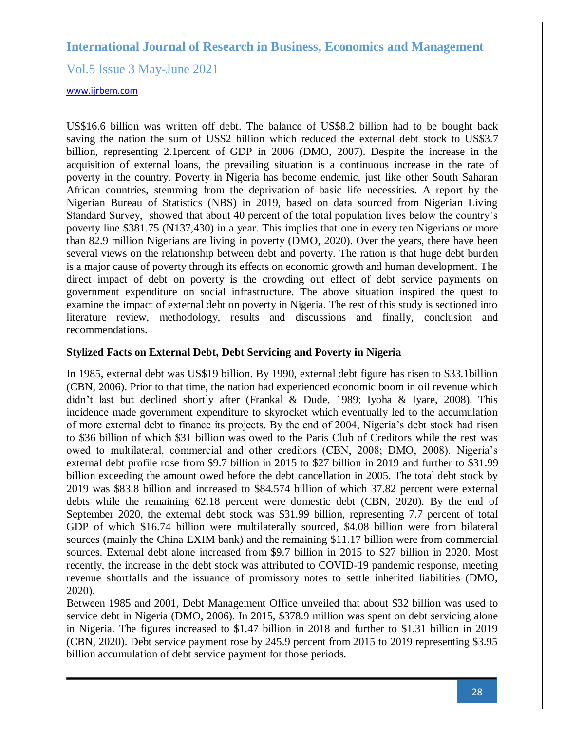Vol.5 Issue 3 May-June 2021

### [www.ijrbem.com](file:///G:/New%20folder%20(2)/New%20folder/IJRBEM/pepar/2019/May-June/BEM361%20pub/www.ijrbem.com)

US\$16.6 billion was written off debt. The balance of US\$8.2 billion had to be bought back saving the nation the sum of US\$2 billion which reduced the external debt stock to US\$3.7 billion, representing 2.1percent of GDP in 2006 (DMO, 2007). Despite the increase in the acquisition of external loans, the prevailing situation is a continuous increase in the rate of poverty in the country. Poverty in Nigeria has become endemic, just like other South Saharan African countries, stemming from the deprivation of basic life necessities. A report by the Nigerian Bureau of Statistics (NBS) in 2019, based on data sourced from Nigerian Living Standard Survey, showed that about 40 percent of the total population lives below the country's poverty line \$381.75 (N137,430) in a year. This implies that one in every ten Nigerians or more than 82.9 million Nigerians are living in poverty (DMO, 2020). Over the years, there have been several views on the relationship between debt and poverty. The ration is that huge debt burden is a major cause of poverty through its effects on economic growth and human development. The direct impact of debt on poverty is the crowding out effect of debt service payments on government expenditure on social infrastructure. The above situation inspired the quest to examine the impact of external debt on poverty in Nigeria. The rest of this study is sectioned into literature review, methodology, results and discussions and finally, conclusion and recommendations.

### **Stylized Facts on External Debt, Debt Servicing and Poverty in Nigeria**

In 1985, external debt was US\$19 billion. By 1990, external debt figure has risen to \$33.1billion (CBN, 2006). Prior to that time, the nation had experienced economic boom in oil revenue which didn't last but declined shortly after (Frankal & Dude, 1989; Iyoha & Iyare, 2008). This incidence made government expenditure to skyrocket which eventually led to the accumulation of more external debt to finance its projects. By the end of 2004, Nigeria's debt stock had risen to \$36 billion of which \$31 billion was owed to the Paris Club of Creditors while the rest was owed to multilateral, commercial and other creditors (CBN, 2008; DMO, 2008). Nigeria's external debt profile rose from \$9.7 billion in 2015 to \$27 billion in 2019 and further to \$31.99 billion exceeding the amount owed before the debt cancellation in 2005. The total debt stock by 2019 was \$83.8 billion and increased to \$84.574 billion of which 37.82 percent were external debts while the remaining 62.18 percent were domestic debt (CBN, 2020). By the end of September 2020, the external debt stock was \$31.99 billion, representing 7.7 percent of total GDP of which \$16.74 billion were multilaterally sourced, \$4.08 billion were from bilateral sources (mainly the China EXIM bank) and the remaining \$11.17 billion were from commercial sources. External debt alone increased from \$9.7 billion in 2015 to \$27 billion in 2020. Most recently, the increase in the debt stock was attributed to COVID-19 pandemic response, meeting revenue shortfalls and the issuance of promissory notes to settle inherited liabilities (DMO, 2020).

Between 1985 and 2001, Debt Management Office unveiled that about \$32 billion was used to service debt in Nigeria (DMO, 2006). In 2015, \$378.9 million was spent on debt servicing alone in Nigeria. The figures increased to \$1.47 billion in 2018 and further to \$1.31 billion in 2019 (CBN, 2020). Debt service payment rose by 245.9 percent from 2015 to 2019 representing \$3.95 billion accumulation of debt service payment for those periods.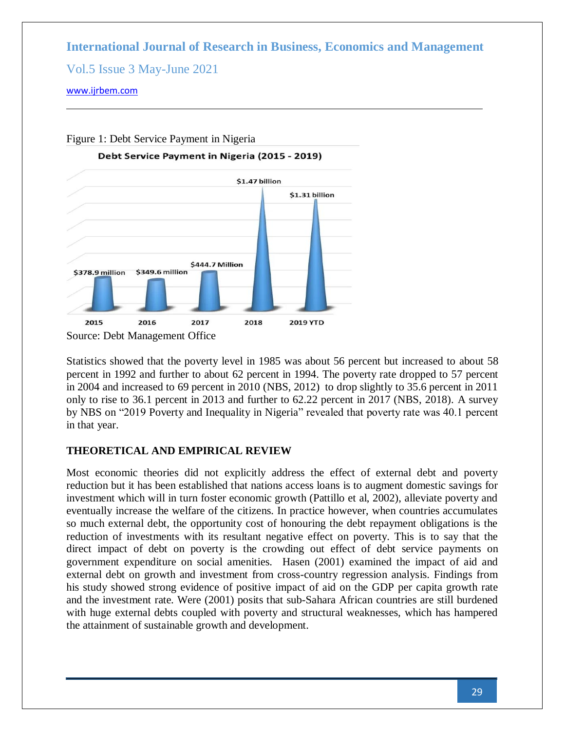Vol.5 Issue 3 May-June 2021

[www.ijrbem.com](file:///G:/New%20folder%20(2)/New%20folder/IJRBEM/pepar/2019/May-June/BEM361%20pub/www.ijrbem.com)



Statistics showed that the poverty level in 1985 was about 56 percent but increased to about 58 percent in 1992 and further to about 62 percent in 1994. The poverty rate dropped to 57 percent in 2004 and increased to 69 percent in 2010 (NBS, 2012) to drop slightly to 35.6 percent in 2011 only to rise to 36.1 percent in 2013 and further to 62.22 percent in 2017 (NBS, 2018). A survey by NBS on "2019 Poverty and Inequality in Nigeria" revealed that poverty rate was 40.1 percent in that year.

# **THEORETICAL AND EMPIRICAL REVIEW**

Most economic theories did not explicitly address the effect of external debt and poverty reduction but it has been established that nations access loans is to augment domestic savings for investment which will in turn foster economic growth (Pattillo et al, 2002), alleviate poverty and eventually increase the welfare of the citizens. In practice however, when countries accumulates so much external debt, the opportunity cost of honouring the debt repayment obligations is the reduction of investments with its resultant negative effect on poverty. This is to say that the direct impact of debt on poverty is the crowding out effect of debt service payments on government expenditure on social amenities. Hasen (2001) examined the impact of aid and external debt on growth and investment from cross-country regression analysis. Findings from his study showed strong evidence of positive impact of aid on the GDP per capita growth rate and the investment rate. Were (2001) posits that sub-Sahara African countries are still burdened with huge external debts coupled with poverty and structural weaknesses, which has hampered the attainment of sustainable growth and development.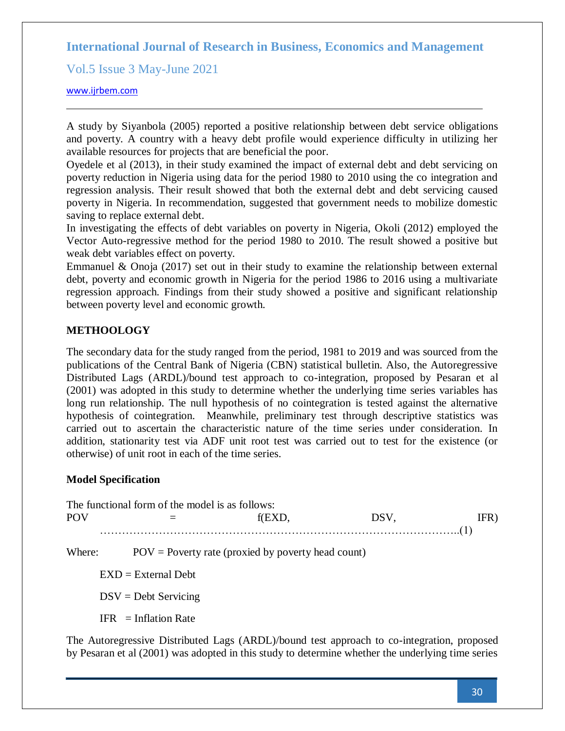Vol.5 Issue 3 May-June 2021

[www.ijrbem.com](file:///G:/New%20folder%20(2)/New%20folder/IJRBEM/pepar/2019/May-June/BEM361%20pub/www.ijrbem.com)

A study by Siyanbola (2005) reported a positive relationship between debt service obligations and poverty. A country with a heavy debt profile would experience difficulty in utilizing her available resources for projects that are beneficial the poor.

Oyedele et al (2013), in their study examined the impact of external debt and debt servicing on poverty reduction in Nigeria using data for the period 1980 to 2010 using the co integration and regression analysis. Their result showed that both the external debt and debt servicing caused poverty in Nigeria. In recommendation, suggested that government needs to mobilize domestic saving to replace external debt.

In investigating the effects of debt variables on poverty in Nigeria, Okoli (2012) employed the Vector Auto-regressive method for the period 1980 to 2010. The result showed a positive but weak debt variables effect on poverty.

Emmanuel & Onoja (2017) set out in their study to examine the relationship between external debt, poverty and economic growth in Nigeria for the period 1986 to 2016 using a multivariate regression approach. Findings from their study showed a positive and significant relationship between poverty level and economic growth.

## **METHOOLOGY**

The secondary data for the study ranged from the period, 1981 to 2019 and was sourced from the publications of the Central Bank of Nigeria (CBN) statistical bulletin. Also, the Autoregressive Distributed Lags (ARDL)/bound test approach to co-integration, proposed by Pesaran et al (2001) was adopted in this study to determine whether the underlying time series variables has long run relationship. The null hypothesis of no cointegration is tested against the alternative hypothesis of cointegration. Meanwhile, preliminary test through descriptive statistics was carried out to ascertain the characteristic nature of the time series under consideration. In addition, stationarity test via ADF unit root test was carried out to test for the existence (or otherwise) of unit root in each of the time series.

### **Model Specification**

|            | The functional form of the model is as follows: |                                                                                            |                                                                                                   |      |
|------------|-------------------------------------------------|--------------------------------------------------------------------------------------------|---------------------------------------------------------------------------------------------------|------|
| <b>POV</b> |                                                 | f(EXD,                                                                                     | DSV,                                                                                              | IFR) |
|            |                                                 |                                                                                            |                                                                                                   |      |
| Where:     |                                                 | $POV = Powerty$ rate (proxied by poverty head count)                                       |                                                                                                   |      |
|            | $EXD = External Debt$                           |                                                                                            |                                                                                                   |      |
|            | $DSV = Debt$ Servicing                          |                                                                                            |                                                                                                   |      |
|            | $IFR = Inflation Rate$                          |                                                                                            |                                                                                                   |      |
|            |                                                 | The Autoregressive Distributed Lags (ARDL)/bound test approach to co-integration, proposed | by Pesaran et al (2001) was adopted in this study to determine whether the underlying time series |      |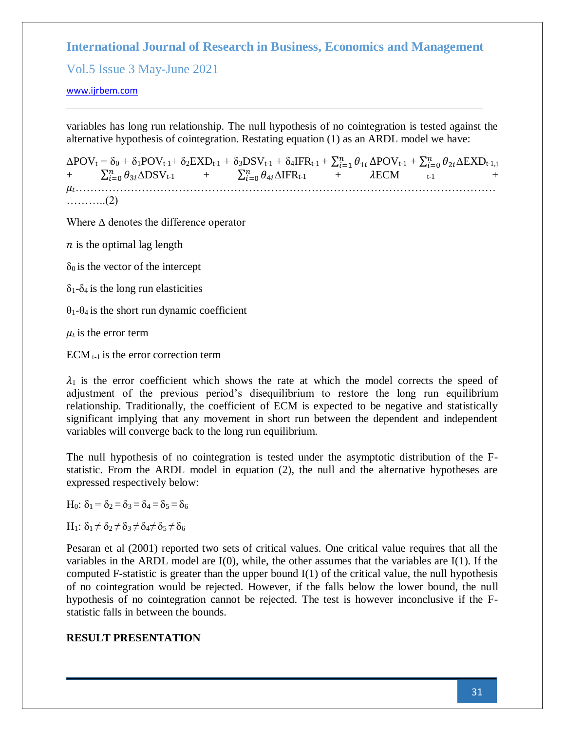Vol.5 Issue 3 May-June 2021

[www.ijrbem.com](file:///G:/New%20folder%20(2)/New%20folder/IJRBEM/pepar/2019/May-June/BEM361%20pub/www.ijrbem.com)

variables has long run relationship. The null hypothesis of no cointegration is tested against the alternative hypothesis of cointegration. Restating equation (1) as an ARDL model we have:

 $\Delta \text{POV}_\text{t} = \delta_0 + \delta_1 \text{POV}_{\text{t-1}} + \delta_2 \text{EXP}_{\text{t-1}} + \delta_3 \text{DSV}_{\text{t-1}} + \delta_4 \text{IFR}_{\text{t-1}} + \sum_{i=1}^n \theta_{1i} \, \Delta \text{POV}_{\text{t-1}} + \sum_{i=0}^n \theta_{2i} \Delta \text{EXP}_{\text{t-1},j}$ +  $\sum_{i=0}^{n} \theta_{3i} \Delta \text{DSV}_{t-1}$  +  $\sum_{i=0}^{n} \theta_{4i} \Delta \text{IFR}_{t-1}$  +  $\lambda \text{ECM}$  <sub>t-1</sub> + …………………………………………………………………………………………………… ………..(2)

Where ∆ denotes the difference operator

 $n$  is the optimal lag length

 $\delta_0$  is the vector of the intercept

 $\delta_1$ - $\delta_4$  is the long run elasticities

θ1-θ4 is the short run dynamic coefficient

 $\mu_t$  is the error term

 $ECM_{t-1}$  is the error correction term

 $\lambda_1$  is the error coefficient which shows the rate at which the model corrects the speed of adjustment of the previous period's disequilibrium to restore the long run equilibrium relationship. Traditionally, the coefficient of ECM is expected to be negative and statistically significant implying that any movement in short run between the dependent and independent variables will converge back to the long run equilibrium.

The null hypothesis of no cointegration is tested under the asymptotic distribution of the Fstatistic. From the ARDL model in equation (2), the null and the alternative hypotheses are expressed respectively below:

H<sub>0</sub>:  $\delta_1 = \delta_2 = \delta_3 = \delta_4 = \delta_5 = \delta_6$ 

 $H_1$ :  $\delta_1 \neq \delta_2 \neq \delta_3 \neq \delta_4 \neq \delta_5 \neq \delta_6$ 

Pesaran et al (2001) reported two sets of critical values. One critical value requires that all the variables in the ARDL model are I(0), while, the other assumes that the variables are I(1). If the computed F-statistic is greater than the upper bound I(1) of the critical value, the null hypothesis of no cointegration would be rejected. However, if the falls below the lower bound, the null hypothesis of no cointegration cannot be rejected. The test is however inconclusive if the Fstatistic falls in between the bounds.

### **RESULT PRESENTATION**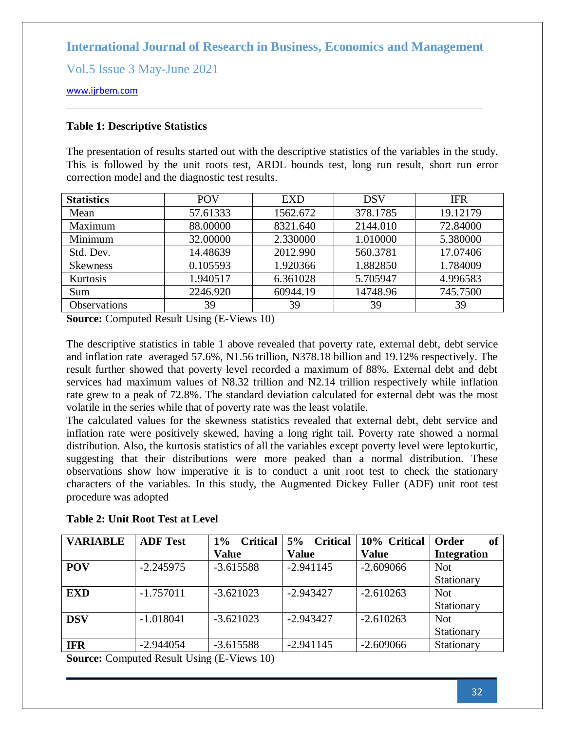Vol.5 Issue 3 May-June 2021

[www.ijrbem.com](file:///G:/New%20folder%20(2)/New%20folder/IJRBEM/pepar/2019/May-June/BEM361%20pub/www.ijrbem.com)

## **Table 1: Descriptive Statistics**

The presentation of results started out with the descriptive statistics of the variables in the study. This is followed by the unit roots test, ARDL bounds test, long run result, short run error correction model and the diagnostic test results.

| <b>Statistics</b> | POV      | EXD      | <b>DSV</b> | <b>IFR</b> |
|-------------------|----------|----------|------------|------------|
| Mean              | 57.61333 | 1562.672 | 378.1785   | 19.12179   |
| Maximum           | 88.00000 | 8321.640 | 2144.010   | 72.84000   |
| Minimum           | 32.00000 | 2.330000 | 1.010000   | 5.380000   |
| Std. Dev.         | 14.48639 | 2012.990 | 560.3781   | 17.07406   |
| <b>Skewness</b>   | 0.105593 | 1.920366 | 1.882850   | 1.784009   |
| Kurtosis          | 1.940517 | 6.361028 | 5.705947   | 4.996583   |
| Sum               | 2246.920 | 60944.19 | 14748.96   | 745.7500   |
| Observations      | 39       | 39       | 39         | 39         |

**Source:** Computed Result Using (E-Views 10)

The descriptive statistics in table 1 above revealed that poverty rate, external debt, debt service and inflation rate averaged 57.6%, N1.56 trillion, N378.18 billion and 19.12% respectively. The result further showed that poverty level recorded a maximum of 88%. External debt and debt services had maximum values of N8.32 trillion and N2.14 trillion respectively while inflation rate grew to a peak of 72.8%. The standard deviation calculated for external debt was the most volatile in the series while that of poverty rate was the least volatile.

The calculated values for the skewness statistics revealed that external debt, debt service and inflation rate were positively skewed, having a long right tail. Poverty rate showed a normal distribution. Also, the kurtosis statistics of all the variables except poverty level were leptokurtic, suggesting that their distributions were more peaked than a normal distribution. These observations show how imperative it is to conduct a unit root test to check the stationary characters of the variables. In this study, the Augmented Dickey Fuller (ADF) unit root test procedure was adopted

| <b>VARIABLE</b> | <b>ADF Test</b> | <b>Critical</b><br>$1\%$ | 5%<br><b>Critical</b> | 10% Critical | Order<br>of        |
|-----------------|-----------------|--------------------------|-----------------------|--------------|--------------------|
|                 |                 | <b>Value</b>             | <b>Value</b>          | <b>Value</b> | <b>Integration</b> |
| <b>POV</b>      | $-2.245975$     | $-3.615588$              | $-2.941145$           | $-2.609066$  | <b>Not</b>         |
|                 |                 |                          |                       |              | Stationary         |
| <b>EXD</b>      | $-1.757011$     | $-3.621023$              | $-2.943427$           | $-2.610263$  | <b>Not</b>         |
|                 |                 |                          |                       |              | Stationary         |
| <b>DSV</b>      | $-1.018041$     | $-3.621023$              | $-2.943427$           | $-2.610263$  | <b>Not</b>         |
|                 |                 |                          |                       |              | Stationary         |
| <b>IFR</b>      | $-2.944054$     | $-3.615588$              | $-2.941145$           | $-2.609066$  | Stationary         |

### **Table 2: Unit Root Test at Level**

**Source:** Computed Result Using (E-Views 10)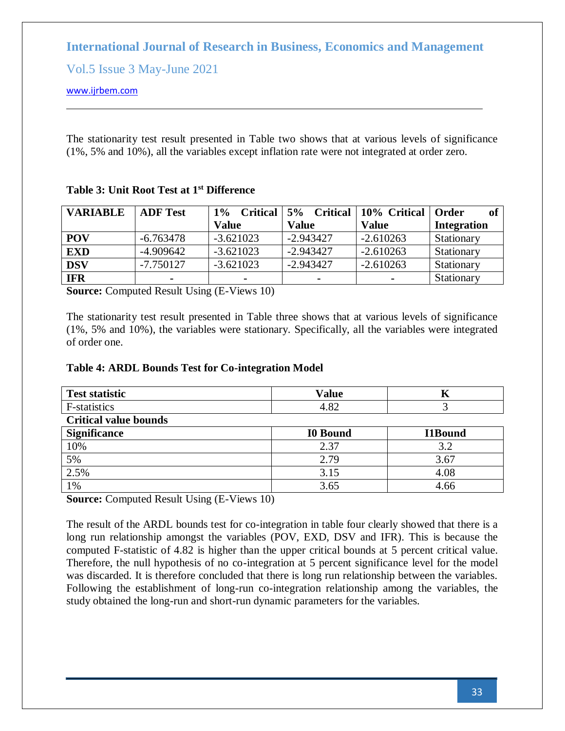Vol.5 Issue 3 May-June 2021

[www.ijrbem.com](file:///G:/New%20folder%20(2)/New%20folder/IJRBEM/pepar/2019/May-June/BEM361%20pub/www.ijrbem.com)

The stationarity test result presented in Table two shows that at various levels of significance (1%, 5% and 10%), all the variables except inflation rate were not integrated at order zero.

| <b>VARIABLE</b> | <b>ADF Test</b> | $1\%$<br><b>Critical</b> | $5\%$<br><b>Critical</b> | 10% Critical   | Order              |
|-----------------|-----------------|--------------------------|--------------------------|----------------|--------------------|
|                 |                 | <b>Value</b>             | <b>Value</b>             | <b>Value</b>   | <b>Integration</b> |
| <b>POV</b>      | $-6.763478$     | $-3.621023$              | $-2.943427$              | $-2.610263$    | Stationary         |
| <b>EXD</b>      | $-4.909642$     | $-3.621023$              | $-2.943427$              | $-2.610263$    | Stationary         |
| <b>DSV</b>      | $-7.750127$     | $-3.621023$              | $-2.943427$              | $-2.610263$    | Stationary         |
| <b>IFR</b>      | $\blacksquare$  | -                        | $\blacksquare$           | $\blacksquare$ | Stationary         |

# **Table 3: Unit Root Test at 1st Difference**

**Source:** Computed Result Using (E-Views 10)

The stationarity test result presented in Table three shows that at various levels of significance (1%, 5% and 10%), the variables were stationary. Specifically, all the variables were integrated of order one.

## **Table 4: ARDL Bounds Test for Co-integration Model**

| <b>Test statistic</b>        | <b>Value</b>    |                |  |  |  |  |
|------------------------------|-----------------|----------------|--|--|--|--|
| F-statistics                 | 4.82            |                |  |  |  |  |
| <b>Critical value bounds</b> |                 |                |  |  |  |  |
| <b>Significance</b>          | <b>I0 Bound</b> | <b>I1Bound</b> |  |  |  |  |
| 10%                          | 2.37            | 3.2            |  |  |  |  |
| 5%                           | 2.79            | 3.67           |  |  |  |  |
| 2.5%                         | 3.15            | 4.08           |  |  |  |  |
| 1%                           | 3.65            | 4.66           |  |  |  |  |

**Source:** Computed Result Using (E-Views 10)

The result of the ARDL bounds test for co-integration in table four clearly showed that there is a long run relationship amongst the variables (POV, EXD, DSV and IFR). This is because the computed F-statistic of 4.82 is higher than the upper critical bounds at 5 percent critical value. Therefore, the null hypothesis of no co-integration at 5 percent significance level for the model was discarded. It is therefore concluded that there is long run relationship between the variables. Following the establishment of long-run co-integration relationship among the variables, the study obtained the long-run and short-run dynamic parameters for the variables.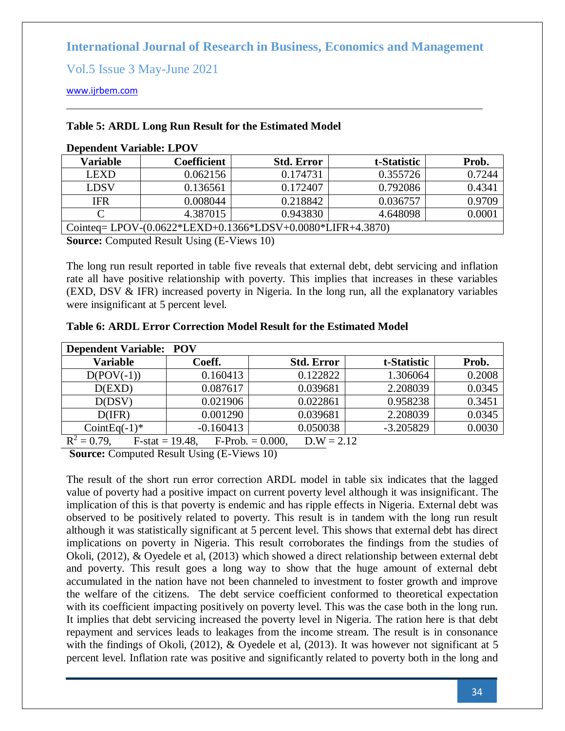Vol.5 Issue 3 May-June 2021

[www.ijrbem.com](file:///G:/New%20folder%20(2)/New%20folder/IJRBEM/pepar/2019/May-June/BEM361%20pub/www.ijrbem.com)

### **Table 5: ARDL Long Run Result for the Estimated Model**

| Variable                                                           | Coefficient | <b>Std. Error</b> | t-Statistic | Prob.  |  |
|--------------------------------------------------------------------|-------------|-------------------|-------------|--------|--|
| <b>LEXD</b>                                                        | 0.062156    | 0.174731          | 0.355726    | 0.7244 |  |
| LDSV                                                               | 0.136561    | 0.172407          | 0.792086    | 0.4341 |  |
| <b>IFR</b>                                                         | 0.008044    | 0.218842          | 0.036757    | 0.9709 |  |
|                                                                    | 4.387015    | 0.943830          | 4.648098    | 0.0001 |  |
| Cointeq=LPOV- $(0.0622 * LEXP+0.1366 * LDSV+0.0080 * LIFR+4.3870)$ |             |                   |             |        |  |

### **Dependent Variable: LPOV**

**Source:** Computed Result Using (E-Views 10)

The long run result reported in table five reveals that external debt, debt servicing and inflation rate all have positive relationship with poverty. This implies that increases in these variables (EXD, DSV & IFR) increased poverty in Nigeria. In the long run, all the explanatory variables were insignificant at 5 percent level.

| <b>Dependent Variable: POV</b> |                    |                                    |             |        |  |  |  |
|--------------------------------|--------------------|------------------------------------|-------------|--------|--|--|--|
| <b>Variable</b>                | Coeff.             | <b>Std. Error</b>                  | t-Statistic | Prob.  |  |  |  |
| $D(POV(-1))$                   | 0.160413           | 0.122822                           | 1.306064    | 0.2008 |  |  |  |
| D(EXD)                         | 0.087617           | 0.039681                           | 2.208039    | 0.0345 |  |  |  |
| D(DSV)                         | 0.021906           | 0.022861                           | 0.958238    | 0.3451 |  |  |  |
| D(IFR)                         | 0.001290           | 0.039681                           | 2.208039    | 0.0345 |  |  |  |
| CointEq $(-1)^*$               | $-0.160413$        | 0.050038                           | $-3.205829$ | 0.0030 |  |  |  |
| $R^2 = 0.79$ ,                 | $F-stat = 19.48$ , | $D.W = 2.12$<br>$F-Prob. = 0.000,$ |             |        |  |  |  |

**Table 6: ARDL Error Correction Model Result for the Estimated Model**

**Source:** Computed Result Using (E-Views 10)

The result of the short run error correction ARDL model in table six indicates that the lagged value of poverty had a positive impact on current poverty level although it was insignificant. The implication of this is that poverty is endemic and has ripple effects in Nigeria. External debt was observed to be positively related to poverty. This result is in tandem with the long run result although it was statistically significant at 5 percent level. This shows that external debt has direct implications on poverty in Nigeria. This result corroborates the findings from the studies of Okoli, (2012), & Oyedele et al, (2013) which showed a direct relationship between external debt and poverty. This result goes a long way to show that the huge amount of external debt accumulated in the nation have not been channeled to investment to foster growth and improve the welfare of the citizens. The debt service coefficient conformed to theoretical expectation with its coefficient impacting positively on poverty level. This was the case both in the long run. It implies that debt servicing increased the poverty level in Nigeria. The ration here is that debt repayment and services leads to leakages from the income stream. The result is in consonance with the findings of Okoli, (2012), & Oyedele et al, (2013). It was however not significant at 5 percent level. Inflation rate was positive and significantly related to poverty both in the long and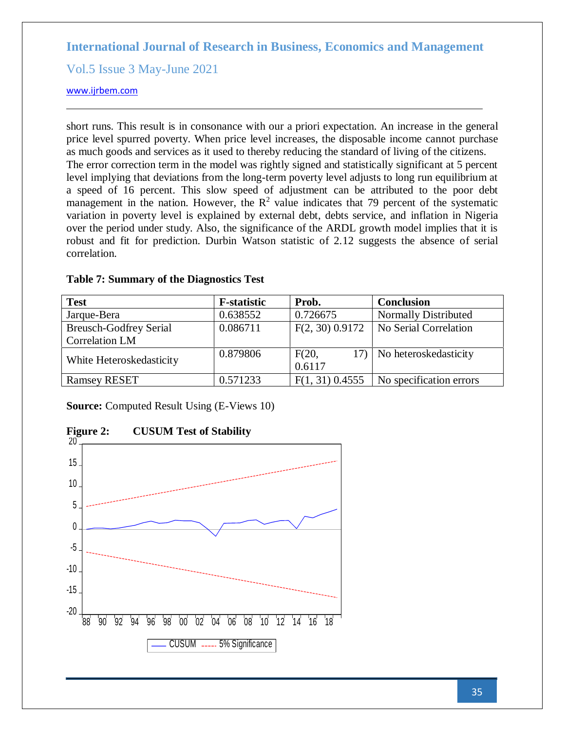Vol.5 Issue 3 May-June 2021

### [www.ijrbem.com](file:///G:/New%20folder%20(2)/New%20folder/IJRBEM/pepar/2019/May-June/BEM361%20pub/www.ijrbem.com)

short runs. This result is in consonance with our a priori expectation. An increase in the general price level spurred poverty. When price level increases, the disposable income cannot purchase as much goods and services as it used to thereby reducing the standard of living of the citizens. The error correction term in the model was rightly signed and statistically significant at 5 percent level implying that deviations from the long-term poverty level adjusts to long run equilibrium at a speed of 16 percent. This slow speed of adjustment can be attributed to the poor debt management in the nation. However, the  $\mathbb{R}^2$  value indicates that 79 percent of the systematic variation in poverty level is explained by external debt, debts service, and inflation in Nigeria over the period under study. Also, the significance of the ARDL growth model implies that it is robust and fit for prediction. Durbin Watson statistic of 2.12 suggests the absence of serial correlation.

| <b>Test</b>                   | <b>F</b> -statistic | Prob.             | <b>Conclusion</b>           |
|-------------------------------|---------------------|-------------------|-----------------------------|
| Jarque-Bera                   | 0.638552            | 0.726675          | <b>Normally Distributed</b> |
| <b>Breusch-Godfrey Serial</b> | 0.086711            | $F(2, 30)$ 0.9172 | No Serial Correlation       |
| <b>Correlation LM</b>         |                     |                   |                             |
| White Heteroskedasticity      | 0.879806            | F(20,<br>0.6117   | 17) No heteroskedasticity   |
| <b>Ramsey RESET</b>           | 0.571233            | $F(1, 31)$ 0.4555 | No specification errors     |

### **Table 7: Summary of the Diagnostics Test**

**Source:** Computed Result Using (E-Views 10)



**Figure 2: CUSUM Test of Stability**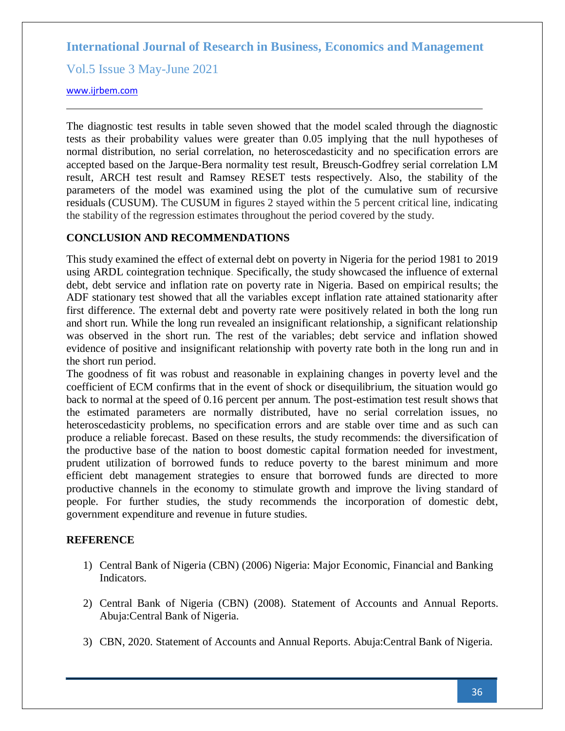Vol.5 Issue 3 May-June 2021

### [www.ijrbem.com](file:///G:/New%20folder%20(2)/New%20folder/IJRBEM/pepar/2019/May-June/BEM361%20pub/www.ijrbem.com)

The diagnostic test results in table seven showed that the model scaled through the diagnostic tests as their probability values were greater than 0.05 implying that the null hypotheses of normal distribution, no serial correlation, no heteroscedasticity and no specification errors are accepted based on the Jarque-Bera normality test result, Breusch-Godfrey serial correlation LM result, ARCH test result and Ramsey RESET tests respectively. Also, the stability of the parameters of the model was examined using the plot of the cumulative sum of recursive residuals (CUSUM). The CUSUM in figures 2 stayed within the 5 percent critical line, indicating the stability of the regression estimates throughout the period covered by the study.

## **CONCLUSION AND RECOMMENDATIONS**

This study examined the effect of external debt on poverty in Nigeria for the period 1981 to 2019 using ARDL cointegration technique. Specifically, the study showcased the influence of external debt, debt service and inflation rate on poverty rate in Nigeria. Based on empirical results; the ADF stationary test showed that all the variables except inflation rate attained stationarity after first difference. The external debt and poverty rate were positively related in both the long run and short run. While the long run revealed an insignificant relationship, a significant relationship was observed in the short run. The rest of the variables; debt service and inflation showed evidence of positive and insignificant relationship with poverty rate both in the long run and in the short run period.

The goodness of fit was robust and reasonable in explaining changes in poverty level and the coefficient of ECM confirms that in the event of shock or disequilibrium, the situation would go back to normal at the speed of 0.16 percent per annum. The post-estimation test result shows that the estimated parameters are normally distributed, have no serial correlation issues, no heteroscedasticity problems, no specification errors and are stable over time and as such can produce a reliable forecast. Based on these results, the study recommends: the diversification of the productive base of the nation to boost domestic capital formation needed for investment, prudent utilization of borrowed funds to reduce poverty to the barest minimum and more efficient debt management strategies to ensure that borrowed funds are directed to more productive channels in the economy to stimulate growth and improve the living standard of people. For further studies, the study recommends the incorporation of domestic debt, government expenditure and revenue in future studies.

## **REFERENCE**

- 1) Central Bank of Nigeria (CBN) (2006) Nigeria: Major Economic, Financial and Banking Indicators.
- 2) Central Bank of Nigeria (CBN) (2008). Statement of Accounts and Annual Reports. Abuja:Central Bank of Nigeria.
- 3) CBN, 2020. Statement of Accounts and Annual Reports. Abuja:Central Bank of Nigeria.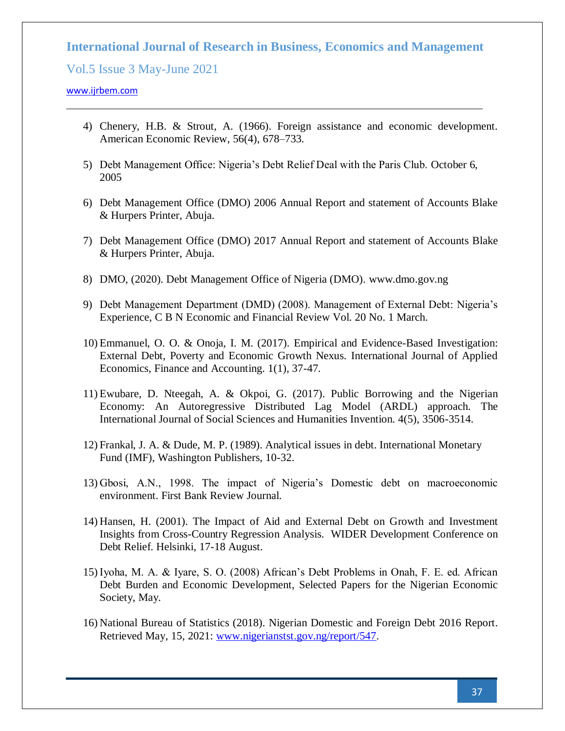Vol.5 Issue 3 May-June 2021

#### [www.ijrbem.com](file:///G:/New%20folder%20(2)/New%20folder/IJRBEM/pepar/2019/May-June/BEM361%20pub/www.ijrbem.com)

- 4) Chenery, H.B. & Strout, A. (1966). Foreign assistance and economic development. American Economic Review, 56(4), 678–733.
- 5) Debt Management Office: Nigeria's Debt Relief Deal with the Paris Club. October 6, 2005
- 6) Debt Management Office (DMO) 2006 Annual Report and statement of Accounts Blake & Hurpers Printer, Abuja.
- 7) Debt Management Office (DMO) 2017 Annual Report and statement of Accounts Blake & Hurpers Printer, Abuja.
- 8) DMO, (2020). Debt Management Office of Nigeria (DMO). www.dmo.gov.ng
- 9) Debt Management Department (DMD) (2008). Management of External Debt: Nigeria's Experience, C B N Economic and Financial Review Vol. 20 No. 1 March.
- 10) Emmanuel, O. O. & Onoja, I. M. (2017). Empirical and Evidence-Based Investigation: External Debt, Poverty and Economic Growth Nexus. International Journal of Applied Economics, Finance and Accounting. 1(1), 37-47.
- 11) Ewubare, D. Nteegah, A. & Okpoi, G. (2017). Public Borrowing and the Nigerian Economy: An Autoregressive Distributed Lag Model (ARDL) approach. The International Journal of Social Sciences and Humanities Invention. 4(5), 3506-3514.
- 12) Frankal, J. A. & Dude, M. P. (1989). Analytical issues in debt. International Monetary Fund (IMF), Washington Publishers, 10-32.
- 13) Gbosi, A.N., 1998. The impact of Nigeria's Domestic debt on macroeconomic environment. First Bank Review Journal.
- 14) Hansen, H. (2001). The Impact of Aid and External Debt on Growth and Investment Insights from Cross-Country Regression Analysis. WIDER Development Conference on Debt Relief. Helsinki, 17-18 August.
- 15) Iyoha, M. A. & Iyare, S. O. (2008) African's Debt Problems in Onah, F. E. ed. African Debt Burden and Economic Development, Selected Papers for the Nigerian Economic Society, May.
- 16) National Bureau of Statistics (2018). Nigerian Domestic and Foreign Debt 2016 Report. Retrieved May, 15, 2021: [www.nigerianstst.gov.ng/report/547.](http://www.nigerianstst.gov.ng/report/547)